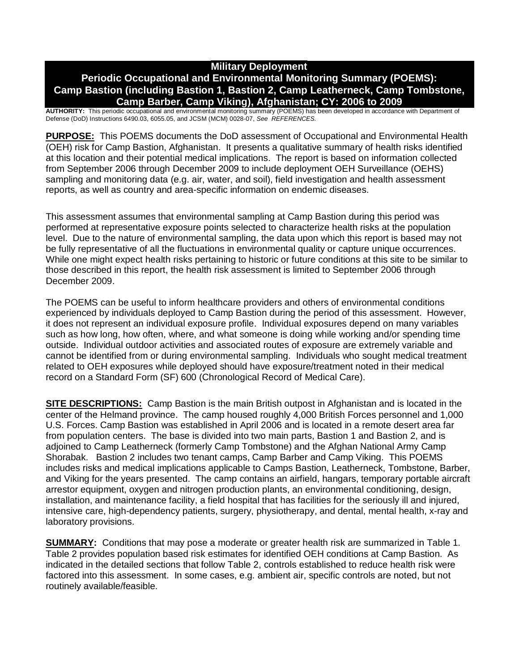## **Military Deployment**

## **Periodic Occupational and Environmental Monitoring Summary (POEMS): Camp Bastion (including Bastion 1, Bastion 2, Camp Leatherneck, Camp Tombstone, Camp Barber, Camp Viking), Afghanistan; CY: 2006 to 2009**

**AUTHORITY:** This periodic occupational and environmental monitoring summary (POEMS) has been developed in accordance with Department of Defense (DoD) Instructions 6490.03, 6055.05, and JCSM (MCM) 0028-07, *See REFERENCES.*

**PURPOSE:** This POEMS documents the DoD assessment of Occupational and Environmental Health (OEH) risk for Camp Bastion, Afghanistan. It presents a qualitative summary of health risks identified at this location and their potential medical implications. The report is based on information collected from September 2006 through December 2009 to include deployment OEH Surveillance (OEHS) sampling and monitoring data (e.g. air, water, and soil), field investigation and health assessment reports, as well as country and area-specific information on endemic diseases.

This assessment assumes that environmental sampling at Camp Bastion during this period was performed at representative exposure points selected to characterize health risks at the population level. Due to the nature of environmental sampling, the data upon which this report is based may not be fully representative of all the fluctuations in environmental quality or capture unique occurrences. While one might expect health risks pertaining to historic or future conditions at this site to be similar to those described in this report, the health risk assessment is limited to September 2006 through December 2009.

The POEMS can be useful to inform healthcare providers and others of environmental conditions experienced by individuals deployed to Camp Bastion during the period of this assessment. However, it does not represent an individual exposure profile. Individual exposures depend on many variables such as how long, how often, where, and what someone is doing while working and/or spending time outside. Individual outdoor activities and associated routes of exposure are extremely variable and cannot be identified from or during environmental sampling. Individuals who sought medical treatment related to OEH exposures while deployed should have exposure/treatment noted in their medical record on a Standard Form (SF) 600 (Chronological Record of Medical Care).

**SITE DESCRIPTIONS:** Camp Bastion is the main British outpost in Afghanistan and is located in the center of the Helmand province. The camp housed roughly 4,000 British Forces personnel and 1,000 U.S. Forces. Camp Bastion was established in April 2006 and is located in a remote desert area far from population centers. The base is divided into two main parts, Bastion 1 and Bastion 2, and is adjoined to Camp Leatherneck (formerly Camp Tombstone) and the Afghan National Army Camp Shorabak. Bastion 2 includes two tenant camps, Camp Barber and Camp Viking. This POEMS includes risks and medical implications applicable to Camps Bastion, Leatherneck, Tombstone, Barber, and Viking for the years presented. The camp contains an airfield, hangars, temporary portable aircraft arrestor equipment, oxygen and nitrogen production plants, an environmental conditioning, design, installation, and maintenance facility, a field hospital that has facilities for the seriously ill and injured, intensive care, high-dependency patients, surgery, physiotherapy, and dental, mental health, x-ray and laboratory provisions.

**SUMMARY:** Conditions that may pose a moderate or greater health risk are summarized in Table 1. Table 2 provides population based risk estimates for identified OEH conditions at Camp Bastion. As indicated in the detailed sections that follow Table 2, controls established to reduce health risk were factored into this assessment. In some cases, e.g. ambient air, specific controls are noted, but not routinely available/feasible.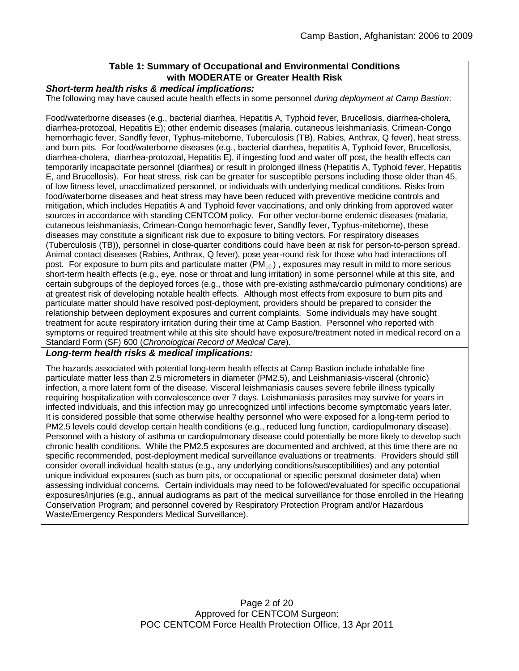## **Table 1: Summary of Occupational and Environmental Conditions with MODERATE or Greater Health Risk**

#### *Short-term health risks & medical implications:*

The following may have caused acute health effects in some personnel *during deployment at Camp Bastion*:

Food/waterborne diseases (e.g., bacterial diarrhea, Hepatitis A, Typhoid fever, Brucellosis, diarrhea-cholera, diarrhea-protozoal, Hepatitis E); other endemic diseases (malaria, cutaneous leishmaniasis, Crimean-Congo hemorrhagic fever, Sandfly fever, Typhus-miteborne, Tuberculosis (TB), Rabies, Anthrax, Q fever), heat stress, and burn pits. For food/waterborne diseases (e.g., bacterial diarrhea, hepatitis A, Typhoid fever, Brucellosis, diarrhea-cholera, diarrhea-protozoal, Hepatitis E), if ingesting food and water off post, the health effects can temporarily incapacitate personnel (diarrhea) or result in prolonged illness (Hepatitis A, Typhoid fever, Hepatitis E, and Brucellosis). For heat stress, risk can be greater for susceptible persons including those older than 45, of low fitness level, unacclimatized personnel, or individuals with underlying medical conditions. Risks from food/waterborne diseases and heat stress may have been reduced with preventive medicine controls and mitigation, which includes Hepatitis A and Typhoid fever vaccinations, and only drinking from approved water sources in accordance with standing CENTCOM policy. For other vector-borne endemic diseases (malaria, cutaneous leishmaniasis, Crimean-Congo hemorrhagic fever, Sandfly fever, Typhus-miteborne), these diseases may constitute a significant risk due to exposure to biting vectors. For respiratory diseases (Tuberculosis (TB)), personnel in close-quarter conditions could have been at risk for person-to-person spread. Animal contact diseases (Rabies, Anthrax, Q fever), pose year-round risk for those who had interactions off post. For exposure to burn pits and particulate matter (PM<sub>10</sub>), exposures may result in mild to more serious short-term health effects (e.g., eye, nose or throat and lung irritation) in some personnel while at this site, and certain subgroups of the deployed forces (e.g., those with pre-existing asthma/cardio pulmonary conditions) are at greatest risk of developing notable health effects. Although most effects from exposure to burn pits and particulate matter should have resolved post-deployment, providers should be prepared to consider the relationship between deployment exposures and current complaints. Some individuals may have sought treatment for acute respiratory irritation during their time at Camp Bastion. Personnel who reported with symptoms or required treatment while at this site should have exposure/treatment noted in medical record on a Standard Form (SF) 600 (*Chronological Record of Medical Care*).

#### *Long-term health risks & medical implications:*

The hazards associated with potential long-term health effects at Camp Bastion include inhalable fine particulate matter less than 2.5 micrometers in diameter (PM2.5), and Leishmaniasis-visceral (chronic) infection, a more latent form of the disease. Visceral leishmaniasis causes severe febrile illness typically requiring hospitalization with convalescence over 7 days. Leishmaniasis parasites may survive for years in infected individuals, and this infection may go unrecognized until infections become symptomatic years later. It is considered possible that some otherwise healthy personnel who were exposed for a long-term period to PM2.5 levels could develop certain health conditions (e.g., reduced lung function, cardiopulmonary disease). Personnel with a history of asthma or cardiopulmonary disease could potentially be more likely to develop such chronic health conditions. While the PM2.5 exposures are documented and archived, at this time there are no specific recommended, post-deployment medical surveillance evaluations or treatments. Providers should still consider overall individual health status (e.g., any underlying conditions/susceptibilities) and any potential unique individual exposures (such as burn pits, or occupational or specific personal dosimeter data) when assessing individual concerns. Certain individuals may need to be followed/evaluated for specific occupational exposures/injuries (e.g., annual audiograms as part of the medical surveillance for those enrolled in the Hearing Conservation Program; and personnel covered by Respiratory Protection Program and/or Hazardous Waste/Emergency Responders Medical Surveillance).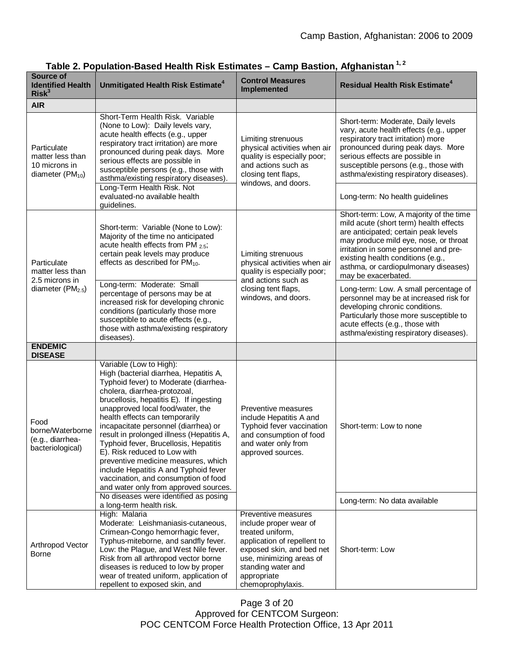| Source of<br><b>Identified Health</b><br>Risk <sup>3</sup>                         | Unmitigated Health Risk Estimate <sup>4</sup>                                                                                                                                                                                                                                                                                                                                                                                                                                                                                                                                                                                       | <b>Control Measures</b><br><b>Implemented</b>                                                                                                                                                                       | <b>Residual Health Risk Estimate<sup>4</sup></b>                                                                                                                                                                                                                                                                  |
|------------------------------------------------------------------------------------|-------------------------------------------------------------------------------------------------------------------------------------------------------------------------------------------------------------------------------------------------------------------------------------------------------------------------------------------------------------------------------------------------------------------------------------------------------------------------------------------------------------------------------------------------------------------------------------------------------------------------------------|---------------------------------------------------------------------------------------------------------------------------------------------------------------------------------------------------------------------|-------------------------------------------------------------------------------------------------------------------------------------------------------------------------------------------------------------------------------------------------------------------------------------------------------------------|
| <b>AIR</b>                                                                         |                                                                                                                                                                                                                                                                                                                                                                                                                                                                                                                                                                                                                                     |                                                                                                                                                                                                                     |                                                                                                                                                                                                                                                                                                                   |
| Particulate<br>matter less than<br>10 microns in<br>diameter (PM <sub>10</sub> )   | Short-Term Health Risk. Variable<br>(None to Low): Daily levels vary,<br>acute health effects (e.g., upper<br>respiratory tract irritation) are more<br>pronounced during peak days. More<br>serious effects are possible in<br>susceptible persons (e.g., those with<br>asthma/existing respiratory diseases).<br>Long-Term Health Risk. Not<br>evaluated-no available health                                                                                                                                                                                                                                                      | Limiting strenuous<br>physical activities when air<br>quality is especially poor;<br>and actions such as<br>closing tent flaps,<br>windows, and doors.                                                              | Short-term: Moderate, Daily levels<br>vary, acute health effects (e.g., upper<br>respiratory tract irritation) more<br>pronounced during peak days. More<br>serious effects are possible in<br>susceptible persons (e.g., those with<br>asthma/existing respiratory diseases).<br>Long-term: No health guidelines |
|                                                                                    | guidelines.                                                                                                                                                                                                                                                                                                                                                                                                                                                                                                                                                                                                                         |                                                                                                                                                                                                                     |                                                                                                                                                                                                                                                                                                                   |
| Particulate<br>matter less than<br>2.5 microns in<br>diameter (PM <sub>2.5</sub> ) | Short-term: Variable (None to Low):<br>Majority of the time no anticipated<br>acute health effects from PM 2.5;<br>certain peak levels may produce<br>effects as described for $PM_{10}$ .                                                                                                                                                                                                                                                                                                                                                                                                                                          | Limiting strenuous<br>physical activities when air<br>quality is especially poor;<br>and actions such as<br>closing tent flaps,<br>windows, and doors.                                                              | Short-term: Low, A majority of the time<br>mild acute (short term) health effects<br>are anticipated; certain peak levels<br>may produce mild eye, nose, or throat<br>irritation in some personnel and pre-<br>existing health conditions (e.g.,<br>asthma, or cardiopulmonary diseases)<br>may be exacerbated.   |
|                                                                                    | Long-term: Moderate: Small<br>percentage of persons may be at<br>increased risk for developing chronic<br>conditions (particularly those more<br>susceptible to acute effects (e.g.,<br>those with asthma/existing respiratory<br>diseases)                                                                                                                                                                                                                                                                                                                                                                                         |                                                                                                                                                                                                                     | Long-term: Low. A small percentage of<br>personnel may be at increased risk for<br>developing chronic conditions.<br>Particularly those more susceptible to<br>acute effects (e.g., those with<br>asthma/existing respiratory diseases).                                                                          |
| <b>ENDEMIC</b><br><b>DISEASE</b>                                                   |                                                                                                                                                                                                                                                                                                                                                                                                                                                                                                                                                                                                                                     |                                                                                                                                                                                                                     |                                                                                                                                                                                                                                                                                                                   |
| Food<br>borne/Waterborne<br>(e.g., diarrhea-<br>bacteriological)                   | Variable (Low to High):<br>High (bacterial diarrhea, Hepatitis A,<br>Typhoid fever) to Moderate (diarrhea-<br>cholera, diarrhea-protozoal,<br>brucellosis, hepatitis E). If ingesting<br>unapproved local food/water, the<br>health effects can temporarily<br>incapacitate personnel (diarrhea) or<br>result in prolonged illness (Hepatitis A,<br>Typhoid fever, Brucellosis, Hepatitis<br>E). Risk reduced to Low with<br>preventive medicine measures, which<br>include Hepatitis A and Typhoid fever<br>vaccination, and consumption of food<br>and water only from approved sources.<br>No diseases were identified as posing | Preventive measures<br>include Hepatitis A and<br>Typhoid fever vaccination<br>and consumption of food<br>and water only from<br>approved sources.                                                                  | Short-term: Low to none<br>Long-term: No data available                                                                                                                                                                                                                                                           |
|                                                                                    | a long-term health risk.                                                                                                                                                                                                                                                                                                                                                                                                                                                                                                                                                                                                            |                                                                                                                                                                                                                     |                                                                                                                                                                                                                                                                                                                   |
| Arthropod Vector<br><b>Borne</b>                                                   | High: Malaria<br>Moderate: Leishmaniasis-cutaneous,<br>Crimean-Congo hemorrhagic fever,<br>Typhus-miteborne, and sandfly fever.<br>Low: the Plague, and West Nile fever.<br>Risk from all arthropod vector borne<br>diseases is reduced to low by proper<br>wear of treated uniform, application of<br>repellent to exposed skin, and                                                                                                                                                                                                                                                                                               | Preventive measures<br>include proper wear of<br>treated uniform,<br>application of repellent to<br>exposed skin, and bed net<br>use, minimizing areas of<br>standing water and<br>appropriate<br>chemoprophylaxis. | Short-term: Low                                                                                                                                                                                                                                                                                                   |

# **Table 2. Population-Based Health Risk Estimates – Camp Bastion, Afghanistan 1, 2**

Page 3 of 20 Approved for CENTCOM Surgeon: POC CENTCOM Force Health Protection Office, 13 Apr 2011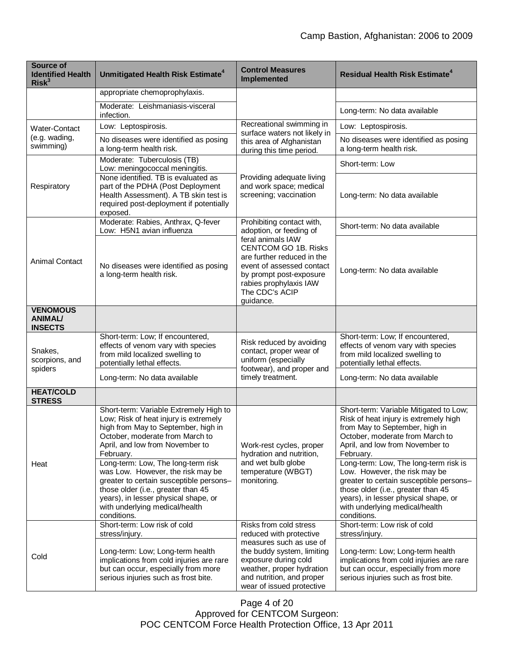| <b>Source of</b><br><b>Identified Health</b><br>Risk <sup>3</sup> | Unmitigated Health Risk Estimate <sup>4</sup>                                                                                                                                                                                                                                                                                                                                                                                                                  | <b>Control Measures</b><br>Implemented                                                                                                                                                                                                                  | <b>Residual Health Risk Estimate<sup>4</sup></b>                                                                                                                                                                                                                                                                                                                                                                                                         |
|-------------------------------------------------------------------|----------------------------------------------------------------------------------------------------------------------------------------------------------------------------------------------------------------------------------------------------------------------------------------------------------------------------------------------------------------------------------------------------------------------------------------------------------------|---------------------------------------------------------------------------------------------------------------------------------------------------------------------------------------------------------------------------------------------------------|----------------------------------------------------------------------------------------------------------------------------------------------------------------------------------------------------------------------------------------------------------------------------------------------------------------------------------------------------------------------------------------------------------------------------------------------------------|
|                                                                   | appropriate chemoprophylaxis.                                                                                                                                                                                                                                                                                                                                                                                                                                  |                                                                                                                                                                                                                                                         |                                                                                                                                                                                                                                                                                                                                                                                                                                                          |
|                                                                   | Moderate: Leishmaniasis-visceral<br>infection.                                                                                                                                                                                                                                                                                                                                                                                                                 |                                                                                                                                                                                                                                                         | Long-term: No data available                                                                                                                                                                                                                                                                                                                                                                                                                             |
| <b>Water-Contact</b><br>(e.g. wading,<br>swimming)                | Low: Leptospirosis.                                                                                                                                                                                                                                                                                                                                                                                                                                            | Recreational swimming in<br>surface waters not likely in<br>this area of Afghanistan<br>during this time period.                                                                                                                                        | Low: Leptospirosis.                                                                                                                                                                                                                                                                                                                                                                                                                                      |
|                                                                   | No diseases were identified as posing<br>a long-term health risk.                                                                                                                                                                                                                                                                                                                                                                                              |                                                                                                                                                                                                                                                         | No diseases were identified as posing<br>a long-term health risk.                                                                                                                                                                                                                                                                                                                                                                                        |
| Respiratory                                                       | Moderate: Tuberculosis (TB)<br>Low: meningococcal meningitis.                                                                                                                                                                                                                                                                                                                                                                                                  |                                                                                                                                                                                                                                                         | Short-term: Low                                                                                                                                                                                                                                                                                                                                                                                                                                          |
|                                                                   | None identified. TB is evaluated as<br>part of the PDHA (Post Deployment<br>Health Assessment). A TB skin test is<br>required post-deployment if potentially<br>exposed.                                                                                                                                                                                                                                                                                       | Providing adequate living<br>and work space; medical<br>screening; vaccination                                                                                                                                                                          | Long-term: No data available                                                                                                                                                                                                                                                                                                                                                                                                                             |
| <b>Animal Contact</b>                                             | Moderate: Rabies, Anthrax, Q-fever<br>Low: H5N1 avian influenza                                                                                                                                                                                                                                                                                                                                                                                                | Prohibiting contact with,<br>adoption, or feeding of<br>feral animals IAW<br><b>CENTCOM GO 1B. Risks</b><br>are further reduced in the<br>event of assessed contact<br>by prompt post-exposure<br>rabies prophylaxis IAW<br>The CDC's ACIP<br>guidance. | Short-term: No data available                                                                                                                                                                                                                                                                                                                                                                                                                            |
|                                                                   | No diseases were identified as posing<br>a long-term health risk.                                                                                                                                                                                                                                                                                                                                                                                              |                                                                                                                                                                                                                                                         | Long-term: No data available                                                                                                                                                                                                                                                                                                                                                                                                                             |
| <b>VENOMOUS</b><br><b>ANIMAL/</b><br><b>INSECTS</b>               |                                                                                                                                                                                                                                                                                                                                                                                                                                                                |                                                                                                                                                                                                                                                         |                                                                                                                                                                                                                                                                                                                                                                                                                                                          |
| Snakes,<br>scorpions, and                                         | Short-term: Low; If encountered,<br>effects of venom vary with species<br>from mild localized swelling to<br>potentially lethal effects.                                                                                                                                                                                                                                                                                                                       | Risk reduced by avoiding<br>contact, proper wear of<br>uniform (especially<br>footwear), and proper and<br>timely treatment.                                                                                                                            | Short-term: Low; If encountered,<br>effects of venom vary with species<br>from mild localized swelling to<br>potentially lethal effects.                                                                                                                                                                                                                                                                                                                 |
| spiders                                                           | Long-term: No data available                                                                                                                                                                                                                                                                                                                                                                                                                                   |                                                                                                                                                                                                                                                         | Long-term: No data available                                                                                                                                                                                                                                                                                                                                                                                                                             |
| <b>HEAT/COLD</b><br><b>STRESS</b>                                 |                                                                                                                                                                                                                                                                                                                                                                                                                                                                |                                                                                                                                                                                                                                                         |                                                                                                                                                                                                                                                                                                                                                                                                                                                          |
| Heat                                                              | Short-term: Variable Extremely High to<br>Low; Risk of heat injury is extremely<br>high from May to September, high in<br>October, moderate from March to<br>April, and low from November to<br>February.<br>Long-term: Low, The long-term risk<br>was Low. However, the risk may be<br>greater to certain susceptible persons-<br>those older (i.e., greater than 45<br>years), in lesser physical shape, or<br>with underlying medical/health<br>conditions. | Work-rest cycles, proper<br>hydration and nutrition,<br>and wet bulb globe<br>temperature (WBGT)<br>monitoring.                                                                                                                                         | Short-term: Variable Mitigated to Low;<br>Risk of heat injury is extremely high<br>from May to September, high in<br>October, moderate from March to<br>April, and low from November to<br>February.<br>Long-term: Low, The long-term risk is<br>Low. However, the risk may be<br>greater to certain susceptible persons-<br>those older (i.e., greater than 45<br>years), in lesser physical shape, or<br>with underlying medical/health<br>conditions. |
| Cold                                                              | Short-term: Low risk of cold<br>stress/injury.<br>Long-term: Low; Long-term health<br>implications from cold injuries are rare<br>but can occur, especially from more<br>serious injuries such as frost bite.                                                                                                                                                                                                                                                  | Risks from cold stress<br>reduced with protective<br>measures such as use of<br>the buddy system, limiting<br>exposure during cold<br>weather, proper hydration<br>and nutrition, and proper<br>wear of issued protective                               | Short-term: Low risk of cold<br>stress/injury.<br>Long-term: Low; Long-term health<br>implications from cold injuries are rare<br>but can occur, especially from more<br>serious injuries such as frost bite.                                                                                                                                                                                                                                            |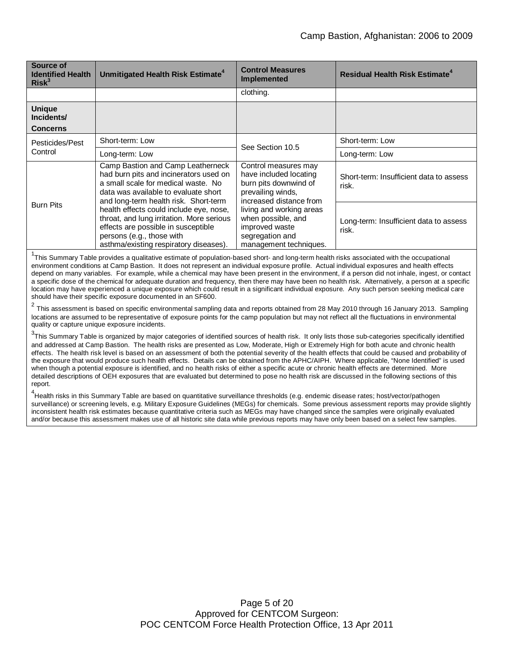| Source of<br><b>Identified Health</b><br>Risk <sup>3</sup> | Unmitigated Health Risk Estimate <sup>4</sup>                                                                                                                                                       | <b>Control Measures</b><br><b>Implemented</b>                                                                           | <b>Residual Health Risk Estimate<sup>4</sup></b> |
|------------------------------------------------------------|-----------------------------------------------------------------------------------------------------------------------------------------------------------------------------------------------------|-------------------------------------------------------------------------------------------------------------------------|--------------------------------------------------|
|                                                            |                                                                                                                                                                                                     | clothing.                                                                                                               |                                                  |
| <b>Unique</b><br>Incidents/<br><b>Concerns</b>             |                                                                                                                                                                                                     |                                                                                                                         |                                                  |
| Pesticides/Pest<br>Control                                 | Short-term: Low                                                                                                                                                                                     | See Section 10.5                                                                                                        | Short-term: Low                                  |
|                                                            | Long-term: Low                                                                                                                                                                                      |                                                                                                                         | Long-term: Low                                   |
| <b>Burn Pits</b>                                           | Camp Bastion and Camp Leatherneck<br>had burn pits and incinerators used on<br>a small scale for medical waste. No<br>data was available to evaluate short<br>and long-term health risk. Short-term | Control measures may<br>have included locating<br>burn pits downwind of<br>prevailing winds,<br>increased distance from | Short-term: Insufficient data to assess<br>risk. |
|                                                            | health effects could include eye, nose,<br>throat, and lung irritation. More serious<br>effects are possible in susceptible<br>persons (e.g., those with<br>asthma/existing respiratory diseases).  | living and working areas<br>when possible, and<br>improved waste<br>segregation and<br>management techniques.           | Long-term: Insufficient data to assess<br>risk.  |

<sup>1</sup>This Summary Table provides a qualitative estimate of population-based short- and long-term health risks associated with the occupational environment conditions at Camp Bastion. It does not represent an individual exposure profile. Actual individual exposures and health effects depend on many variables. For example, while a chemical may have been present in the environment, if a person did not inhale, ingest, or contact a specific dose of the chemical for adequate duration and frequency, then there may have been no health risk. Alternatively, a person at a specific location may have experienced a unique exposure which could result in a significant individual exposure. Any such person seeking medical care should have their specific exposure documented in an SF600.

 $^2$  This assessment is based on specific environmental sampling data and reports obtained from 28 May 2010 through 16 January 2013. Sampling locations are assumed to be representative of exposure points for the camp population but may not reflect all the fluctuations in environmental quality or capture unique exposure incidents.

<sup>3</sup>This Summary Table is organized by major categories of identified sources of health risk. It only lists those sub-categories specifically identified and addressed at Camp Bastion. The health risks are presented as Low, Moderate, High or Extremely High for both acute and chronic health effects. The health risk level is based on an assessment of both the potential severity of the health effects that could be caused and probability of the exposure that would produce such health effects. Details can be obtained from the APHC/AIPH. Where applicable, "None Identified" is used when though a potential exposure is identified, and no health risks of either a specific acute or chronic health effects are determined. More detailed descriptions of OEH exposures that are evaluated but determined to pose no health risk are discussed in the following sections of this report.

<sup>4</sup>Health risks in this Summary Table are based on quantitative surveillance thresholds (e.g. endemic disease rates; host/vector/pathogen surveillance) or screening levels, e.g. Military Exposure Guidelines (MEGs) for chemicals*.* Some previous assessment reports may provide slightly inconsistent health risk estimates because quantitative criteria such as MEGs may have changed since the samples were originally evaluated and/or because this assessment makes use of all historic site data while previous reports may have only been based on a select few samples.

> Page 5 of 20 Approved for CENTCOM Surgeon: POC CENTCOM Force Health Protection Office, 13 Apr 2011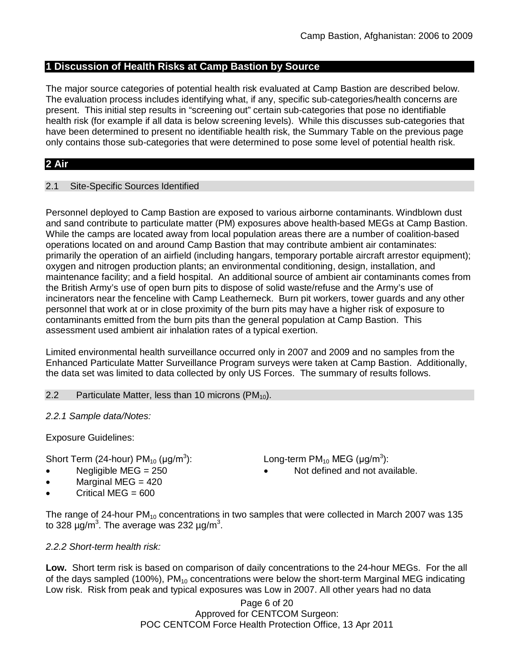## **1 Discussion of Health Risks at Camp Bastion by Source**

The major source categories of potential health risk evaluated at Camp Bastion are described below. The evaluation process includes identifying what, if any, specific sub-categories/health concerns are present. This initial step results in "screening out" certain sub-categories that pose no identifiable health risk (for example if all data is below screening levels). While this discusses sub-categories that have been determined to present no identifiable health risk, the Summary Table on the previous page only contains those sub-categories that were determined to pose some level of potential health risk.

## **2 Air**

## 2.1 Site-Specific Sources Identified

Personnel deployed to Camp Bastion are exposed to various airborne contaminants. Windblown dust and sand contribute to particulate matter (PM) exposures above health-based MEGs at Camp Bastion. While the camps are located away from local population areas there are a number of coalition-based operations located on and around Camp Bastion that may contribute ambient air contaminates: primarily the operation of an airfield (including hangars, temporary portable aircraft arrestor equipment); oxygen and nitrogen production plants; an environmental conditioning, design, installation, and maintenance facility; and a field hospital. An additional source of ambient air contaminants comes from the British Army's use of open burn pits to dispose of solid waste/refuse and the Army's use of incinerators near the fenceline with Camp Leatherneck. Burn pit workers, tower guards and any other personnel that work at or in close proximity of the burn pits may have a higher risk of exposure to contaminants emitted from the burn pits than the general population at Camp Bastion. This assessment used ambient air inhalation rates of a typical exertion.

Limited environmental health surveillance occurred only in 2007 and 2009 and no samples from the Enhanced Particulate Matter Surveillance Program surveys were taken at Camp Bastion. Additionally, the data set was limited to data collected by only US Forces. The summary of results follows.

#### 2.2 Particulate Matter, less than 10 microns  $(PM_{10})$ .

#### *2.2.1 Sample data/Notes:*

Exposure Guidelines:

Short Term (24-hour) PM $_{10}$  (µg/m $^3$ 

- 
- Marginal MEG  $= 420$
- Critical MEG  $= 600$

): Long-term PM<sub>10</sub> MEG ( $\mu$ g/m<sup>3</sup>):

• Negligible MEG = 250 **•** Not defined and not available.

The range of 24-hour  $PM_{10}$  concentrations in two samples that were collected in March 2007 was 135 to 328  $\mu$ g/m<sup>3</sup>. The average was 232  $\mu$ g/m<sup>3</sup>.

## *2.2.2 Short-term health risk:*

**Low.** Short term risk is based on comparison of daily concentrations to the 24-hour MEGs. For the all of the days sampled (100%),  $PM_{10}$  concentrations were below the short-term Marginal MEG indicating Low risk. Risk from peak and typical exposures was Low in 2007. All other years had no data

> Page 6 of 20 Approved for CENTCOM Surgeon: POC CENTCOM Force Health Protection Office, 13 Apr 2011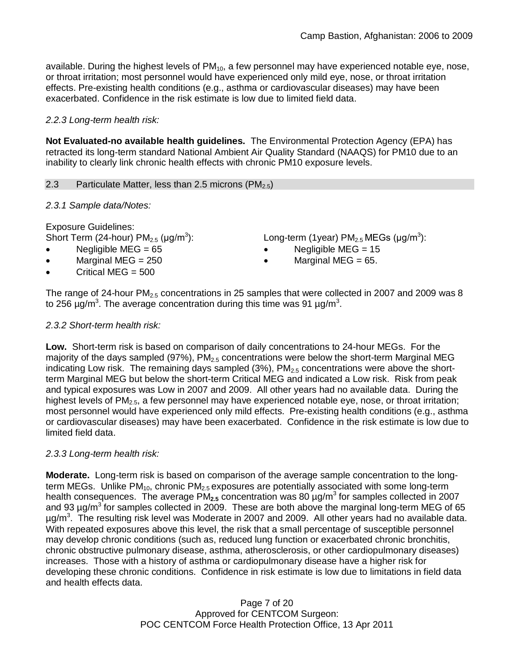available. During the highest levels of  $PM_{10}$ , a few personnel may have experienced notable eye, nose, or throat irritation; most personnel would have experienced only mild eye, nose, or throat irritation effects. Pre-existing health conditions (e.g., asthma or cardiovascular diseases) may have been exacerbated. Confidence in the risk estimate is low due to limited field data.

## *2.2.3 Long-term health risk:*

**Not Evaluated-no available health guidelines.** The Environmental Protection Agency (EPA) has retracted its long-term standard National Ambient Air Quality Standard (NAAQS) for PM10 due to an inability to clearly link chronic health effects with chronic PM10 exposure levels.

## 2.3 Particulate Matter, less than 2.5 microns (PM<sub>2.5</sub>)

## *2.3.1 Sample data/Notes:*

Exposure Guidelines: Short Term (24-hour)  $PM_{2.5}$  (µg/m<sup>3</sup>

- 
- Critical MEG  $= 500$

): Long-term (1year)  $PM_{2.5}$  MEGs (µg/m<sup>3</sup>):

- Negligible MEG = 65 Negligible MEG = 15
	- Marginal MEG =  $250$   $\bullet$  Marginal MEG =  $65$ .

The range of 24-hour  $PM<sub>2.5</sub>$  concentrations in 25 samples that were collected in 2007 and 2009 was 8 to 256  $\mu$ g/m<sup>3</sup>. The average concentration during this time was 91  $\mu$ g/m<sup>3</sup>.

## *2.3.2 Short-term health risk:*

**Low.** Short-term risk is based on comparison of daily concentrations to 24-hour MEGs. For the majority of the days sampled (97%),  $PM<sub>2.5</sub>$  concentrations were below the short-term Marginal MEG indicating Low risk. The remaining days sampled  $(3%)$ ,  $PM<sub>2.5</sub>$  concentrations were above the shortterm Marginal MEG but below the short-term Critical MEG and indicated a Low risk. Risk from peak and typical exposures was Low in 2007 and 2009. All other years had no available data. During the highest levels of  $PM<sub>2.5</sub>$ , a few personnel may have experienced notable eye, nose, or throat irritation; most personnel would have experienced only mild effects. Pre-existing health conditions (e.g., asthma or cardiovascular diseases) may have been exacerbated. Confidence in the risk estimate is low due to limited field data.

## *2.3.3 Long-term health risk:*

**Moderate.** Long-term risk is based on comparison of the average sample concentration to the longterm MEGs. Unlike PM<sub>10</sub>, chronic PM<sub>2.5</sub> exposures are potentially associated with some long-term health consequences. The average PM<sub>2.5</sub> concentration was 80 µg/m<sup>3</sup> for samples collected in 2007 and 93  $\mu$ g/m $^3$  for samples collected in 2009. These are both above the marginal long-term MEG of 65  $\mu$ g/m<sup>3</sup>. The resulting risk level was Moderate in 2007 and 2009. All other years had no available data. With repeated exposures above this level, the risk that a small percentage of susceptible personnel may develop chronic conditions (such as, reduced lung function or exacerbated chronic bronchitis, chronic obstructive pulmonary disease, asthma, atherosclerosis, or other cardiopulmonary diseases) increases. Those with a history of asthma or cardiopulmonary disease have a higher risk for developing these chronic conditions. Confidence in risk estimate is low due to limitations in field data and health effects data.

> Page 7 of 20 Approved for CENTCOM Surgeon: POC CENTCOM Force Health Protection Office, 13 Apr 2011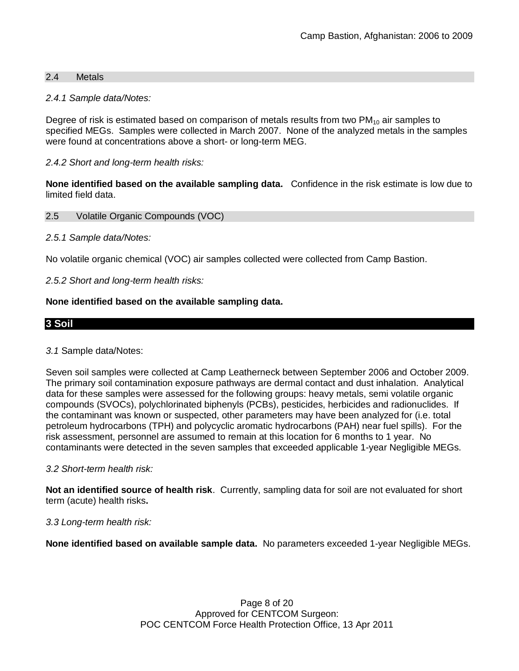### 2.4 Metals

#### *2.4.1 Sample data/Notes:*

Degree of risk is estimated based on comparison of metals results from two  $PM_{10}$  air samples to specified MEGs. Samples were collected in March 2007. None of the analyzed metals in the samples were found at concentrations above a short- or long-term MEG.

## *2.4.2 Short and long-term health risks:*

**None identified based on the available sampling data.** Confidence in the risk estimate is low due to limited field data.

#### 2.5 Volatile Organic Compounds (VOC)

#### *2.5.1 Sample data/Notes:*

No volatile organic chemical (VOC) air samples collected were collected from Camp Bastion.

#### *2.5.2 Short and long-term health risks:*

#### **None identified based on the available sampling data.**

## **3 Soil**

#### *3.1* Sample data/Notes:

Seven soil samples were collected at Camp Leatherneck between September 2006 and October 2009. The primary soil contamination exposure pathways are dermal contact and dust inhalation. Analytical data for these samples were assessed for the following groups: heavy metals, semi volatile organic compounds (SVOCs), polychlorinated biphenyls (PCBs), pesticides, herbicides and radionuclides. If the contaminant was known or suspected, other parameters may have been analyzed for (i.e. total petroleum hydrocarbons (TPH) and polycyclic aromatic hydrocarbons (PAH) near fuel spills). For the risk assessment, personnel are assumed to remain at this location for 6 months to 1 year. No contaminants were detected in the seven samples that exceeded applicable 1-year Negligible MEGs.

#### *3.2 Short-term health risk:*

**Not an identified source of health risk**. Currently, sampling data for soil are not evaluated for short term (acute) health risks**.**

#### *3.3 Long-term health risk:*

**None identified based on available sample data.** No parameters exceeded 1-year Negligible MEGs.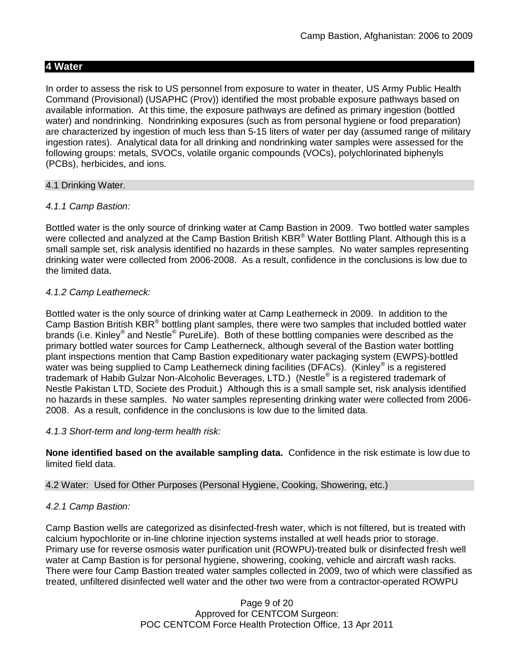## **4 Water**

In order to assess the risk to US personnel from exposure to water in theater, US Army Public Health Command (Provisional) (USAPHC (Prov)) identified the most probable exposure pathways based on available information. At this time, the exposure pathways are defined as primary ingestion (bottled water) and nondrinking. Nondrinking exposures (such as from personal hygiene or food preparation) are characterized by ingestion of much less than 5-15 liters of water per day (assumed range of military ingestion rates). Analytical data for all drinking and nondrinking water samples were assessed for the following groups: metals, SVOCs, volatile organic compounds (VOCs), polychlorinated biphenyls (PCBs), herbicides, and ions.

#### 4.1 Drinking Water.

#### *4.1.1 Camp Bastion:*

Bottled water is the only source of drinking water at Camp Bastion in 2009. Two bottled water samples were collected and analyzed at the Camp Bastion British KBR<sup>®</sup> Water Bottling Plant. Although this is a small sample set, risk analysis identified no hazards in these samples. No water samples representing drinking water were collected from 2006-2008. As a result, confidence in the conclusions is low due to the limited data.

## *4.1.2 Camp Leatherneck:*

Bottled water is the only source of drinking water at Camp Leatherneck in 2009. In addition to the Camp Bastion British  $KBR^{\circledast}$  bottling plant samples, there were two samples that included bottled water brands (i.e. Kinley® and Nestle® PureLife). Both of these bottling companies were described as the primary bottled water sources for Camp Leatherneck, although several of the Bastion water bottling plant inspections mention that Camp Bastion expeditionary water packaging system (EWPS)-bottled water was being supplied to Camp Leatherneck dining facilities (DFACs). (Kinley® is a registered trademark of Habib Gulzar Non-Alcoholic Beverages, LTD.) (Nestle® is a registered trademark of Nestle Pakistan LTD, Societe des Produit.) Although this is a small sample set, risk analysis identified no hazards in these samples. No water samples representing drinking water were collected from 2006- 2008. As a result, confidence in the conclusions is low due to the limited data.

## *4.1.3 Short-term and long-term health risk:*

**None identified based on the available sampling data.** Confidence in the risk estimate is low due to limited field data.

#### 4.2 Water: Used for Other Purposes (Personal Hygiene, Cooking, Showering, etc.)

## *4.2.1 Camp Bastion:*

Camp Bastion wells are categorized as disinfected-fresh water, which is not filtered, but is treated with calcium hypochlorite or in-line chlorine injection systems installed at well heads prior to storage. Primary use for reverse osmosis water purification unit (ROWPU)-treated bulk or disinfected fresh well water at Camp Bastion is for personal hygiene, showering, cooking, vehicle and aircraft wash racks. There were four Camp Bastion treated water samples collected in 2009, two of which were classified as treated, unfiltered disinfected well water and the other two were from a contractor-operated ROWPU

> Page 9 of 20 Approved for CENTCOM Surgeon: POC CENTCOM Force Health Protection Office, 13 Apr 2011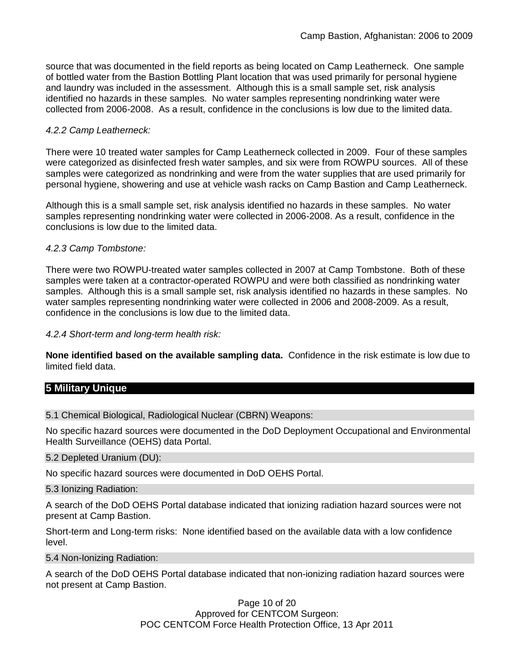source that was documented in the field reports as being located on Camp Leatherneck. One sample of bottled water from the Bastion Bottling Plant location that was used primarily for personal hygiene and laundry was included in the assessment. Although this is a small sample set, risk analysis identified no hazards in these samples. No water samples representing nondrinking water were collected from 2006-2008. As a result, confidence in the conclusions is low due to the limited data.

### *4.2.2 Camp Leatherneck:*

There were 10 treated water samples for Camp Leatherneck collected in 2009. Four of these samples were categorized as disinfected fresh water samples, and six were from ROWPU sources. All of these samples were categorized as nondrinking and were from the water supplies that are used primarily for personal hygiene, showering and use at vehicle wash racks on Camp Bastion and Camp Leatherneck.

Although this is a small sample set, risk analysis identified no hazards in these samples. No water samples representing nondrinking water were collected in 2006-2008. As a result, confidence in the conclusions is low due to the limited data.

#### *4.2.3 Camp Tombstone:*

There were two ROWPU-treated water samples collected in 2007 at Camp Tombstone. Both of these samples were taken at a contractor-operated ROWPU and were both classified as nondrinking water samples. Although this is a small sample set, risk analysis identified no hazards in these samples. No water samples representing nondrinking water were collected in 2006 and 2008-2009. As a result, confidence in the conclusions is low due to the limited data.

#### *4.2.4 Short-term and long-term health risk:*

**None identified based on the available sampling data.** Confidence in the risk estimate is low due to limited field data.

## **5 Military Unique**

5.1 Chemical Biological, Radiological Nuclear (CBRN) Weapons:

No specific hazard sources were documented in the DoD Deployment Occupational and Environmental Health Surveillance (OEHS) data Portal.

#### 5.2 Depleted Uranium (DU):

No specific hazard sources were documented in DoD OEHS Portal.

#### 5.3 Ionizing Radiation:

A search of the DoD OEHS Portal database indicated that ionizing radiation hazard sources were not present at Camp Bastion.

Short-term and Long-term risks: None identified based on the available data with a low confidence level.

5.4 Non-Ionizing Radiation:

A search of the DoD OEHS Portal database indicated that non-ionizing radiation hazard sources were not present at Camp Bastion.

> Page 10 of 20 Approved for CENTCOM Surgeon: POC CENTCOM Force Health Protection Office, 13 Apr 2011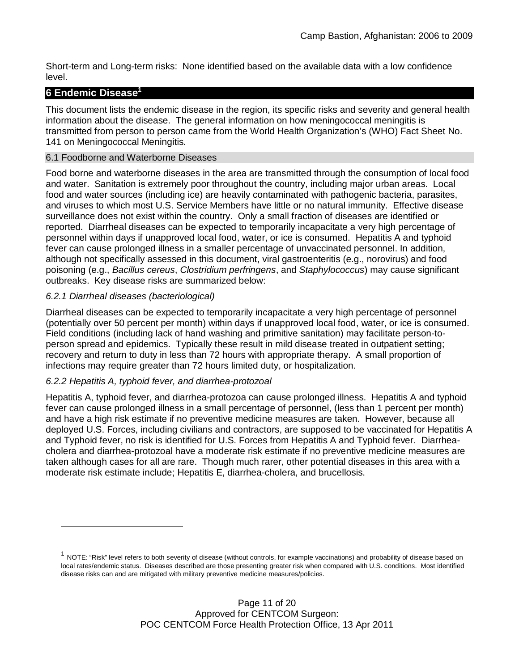Short-term and Long-term risks: None identified based on the available data with a low confidence level.

## **6 Endemic Disease<sup>1</sup>**

This document lists the endemic disease in the region, its specific risks and severity and general health information about the disease. The general information on how meningococcal meningitis is transmitted from person to person came from the World Health Organization's (WHO) Fact Sheet No. 141 on Meningococcal Meningitis.

## 6.1 Foodborne and Waterborne Diseases

Food borne and waterborne diseases in the area are transmitted through the consumption of local food and water. Sanitation is extremely poor throughout the country, including major urban areas. Local food and water sources (including ice) are heavily contaminated with pathogenic bacteria, parasites, and viruses to which most U.S. Service Members have little or no natural immunity. Effective disease surveillance does not exist within the country. Only a small fraction of diseases are identified or reported. Diarrheal diseases can be expected to temporarily incapacitate a very high percentage of personnel within days if unapproved local food, water, or ice is consumed. Hepatitis A and typhoid fever can cause prolonged illness in a smaller percentage of unvaccinated personnel. In addition, although not specifically assessed in this document, viral gastroenteritis (e.g., norovirus) and food poisoning (e.g., *Bacillus cereus*, *Clostridium perfringens*, and *Staphylococcus*) may cause significant outbreaks. Key disease risks are summarized below:

## *6.2.1 Diarrheal diseases (bacteriological)*

Diarrheal diseases can be expected to temporarily incapacitate a very high percentage of personnel (potentially over 50 percent per month) within days if unapproved local food, water, or ice is consumed. Field conditions (including lack of hand washing and primitive sanitation) may facilitate person-toperson spread and epidemics. Typically these result in mild disease treated in outpatient setting; recovery and return to duty in less than 72 hours with appropriate therapy. A small proportion of infections may require greater than 72 hours limited duty, or hospitalization.

## *6.2.2 Hepatitis A, typhoid fever, and diarrhea-protozoal*

Hepatitis A, typhoid fever, and diarrhea-protozoa can cause prolonged illness. Hepatitis A and typhoid fever can cause prolonged illness in a small percentage of personnel, (less than 1 percent per month) and have a high risk estimate if no preventive medicine measures are taken. However, because all deployed U.S. Forces, including civilians and contractors, are supposed to be vaccinated for Hepatitis A and Typhoid fever, no risk is identified for U.S. Forces from Hepatitis A and Typhoid fever. Diarrheacholera and diarrhea-protozoal have a moderate risk estimate if no preventive medicine measures are taken although cases for all are rare. Though much rarer, other potential diseases in this area with a moderate risk estimate include; Hepatitis E, diarrhea-cholera, and brucellosis.

 $^{\text{1}}$  NOTE: "Risk" level refers to both severity of disease (without controls, for example vaccinations) and probability of disease based on local rates/endemic status. Diseases described are those presenting greater risk when compared with U.S. conditions. Most identified disease risks can and are mitigated with military preventive medicine measures/policies.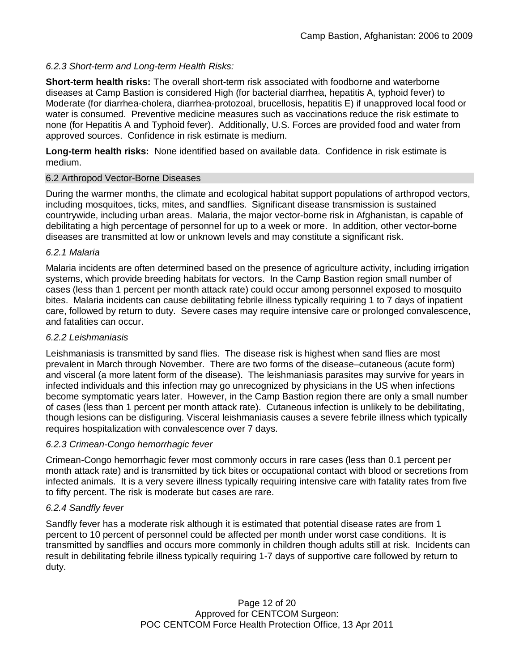## *6.2.3 Short-term and Long-term Health Risks:*

**Short-term health risks:** The overall short-term risk associated with foodborne and waterborne diseases at Camp Bastion is considered High (for bacterial diarrhea, hepatitis A, typhoid fever) to Moderate (for diarrhea-cholera, diarrhea-protozoal, brucellosis, hepatitis E) if unapproved local food or water is consumed. Preventive medicine measures such as vaccinations reduce the risk estimate to none (for Hepatitis A and Typhoid fever). Additionally, U.S. Forces are provided food and water from approved sources. Confidence in risk estimate is medium.

**Long-term health risks:** None identified based on available data. Confidence in risk estimate is medium.

#### 6.2 Arthropod Vector-Borne Diseases

During the warmer months, the climate and ecological habitat support populations of arthropod vectors, including mosquitoes, ticks, mites, and sandflies. Significant disease transmission is sustained countrywide, including urban areas. Malaria, the major vector-borne risk in Afghanistan, is capable of debilitating a high percentage of personnel for up to a week or more. In addition, other vector-borne diseases are transmitted at low or unknown levels and may constitute a significant risk.

#### *6.2.1 Malaria*

Malaria incidents are often determined based on the presence of agriculture activity, including irrigation systems, which provide breeding habitats for vectors. In the Camp Bastion region small number of cases (less than 1 percent per month attack rate) could occur among personnel exposed to mosquito bites. Malaria incidents can cause debilitating febrile illness typically requiring 1 to 7 days of inpatient care, followed by return to duty. Severe cases may require intensive care or prolonged convalescence, and fatalities can occur.

## *6.2.2 Leishmaniasis*

Leishmaniasis is transmitted by sand flies. The disease risk is highest when sand flies are most prevalent in March through November. There are two forms of the disease–cutaneous (acute form) and visceral (a more latent form of the disease). The leishmaniasis parasites may survive for years in infected individuals and this infection may go unrecognized by physicians in the US when infections become symptomatic years later. However, in the Camp Bastion region there are only a small number of cases (less than 1 percent per month attack rate). Cutaneous infection is unlikely to be debilitating, though lesions can be disfiguring. Visceral leishmaniasis causes a severe febrile illness which typically requires hospitalization with convalescence over 7 days.

## *6.2.3 Crimean-Congo hemorrhagic fever*

Crimean-Congo hemorrhagic fever most commonly occurs in rare cases (less than 0.1 percent per month attack rate) and is transmitted by tick bites or occupational contact with blood or secretions from infected animals. It is a very severe illness typically requiring intensive care with fatality rates from five to fifty percent. The risk is moderate but cases are rare.

## *6.2.4 Sandfly fever*

Sandfly fever has a moderate risk although it is estimated that potential disease rates are from 1 percent to 10 percent of personnel could be affected per month under worst case conditions. It is transmitted by sandflies and occurs more commonly in children though adults still at risk. Incidents can result in debilitating febrile illness typically requiring 1-7 days of supportive care followed by return to duty.

> Page 12 of 20 Approved for CENTCOM Surgeon: POC CENTCOM Force Health Protection Office, 13 Apr 2011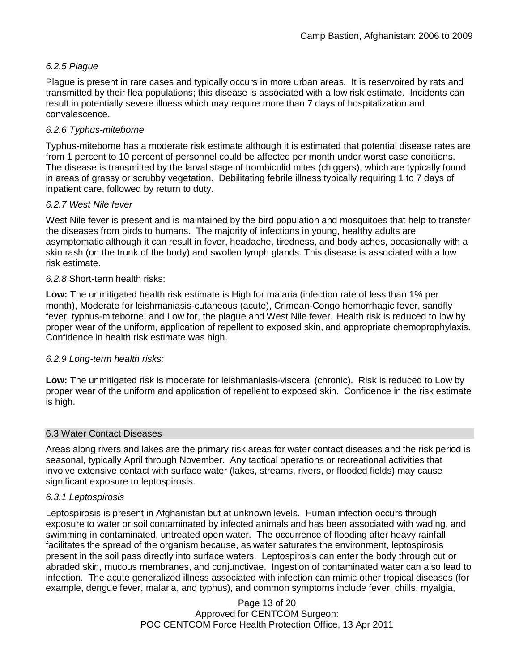## *6.2.5 Plague*

Plague is present in rare cases and typically occurs in more urban areas. It is reservoired by rats and transmitted by their flea populations; this disease is associated with a low risk estimate. Incidents can result in potentially severe illness which may require more than 7 days of hospitalization and convalescence.

## *6.2.6 Typhus-miteborne*

Typhus-miteborne has a moderate risk estimate although it is estimated that potential disease rates are from 1 percent to 10 percent of personnel could be affected per month under worst case conditions. The disease is transmitted by the larval stage of trombiculid mites (chiggers), which are typically found in areas of grassy or scrubby vegetation. Debilitating febrile illness typically requiring 1 to 7 days of inpatient care, followed by return to duty.

## *6.2.7 West Nile fever*

West Nile fever is present and is maintained by the bird population and mosquitoes that help to transfer the diseases from birds to humans. The majority of infections in young, healthy adults are asymptomatic although it can result in fever, headache, tiredness, and body aches, occasionally with a skin rash (on the trunk of the body) and swollen lymph glands. This disease is associated with a low risk estimate.

#### *6.2.8* Short-term health risks:

**Low:** The unmitigated health risk estimate is High for malaria (infection rate of less than 1% per month), Moderate for leishmaniasis-cutaneous (acute), Crimean-Congo hemorrhagic fever, sandfly fever, typhus-miteborne; and Low for, the plague and West Nile fever. Health risk is reduced to low by proper wear of the uniform, application of repellent to exposed skin, and appropriate chemoprophylaxis. Confidence in health risk estimate was high.

## *6.2.9 Long-term health risks:*

**Low:** The unmitigated risk is moderate for leishmaniasis-visceral (chronic). Risk is reduced to Low by proper wear of the uniform and application of repellent to exposed skin. Confidence in the risk estimate is high.

#### 6.3 Water Contact Diseases

Areas along rivers and lakes are the primary risk areas for water contact diseases and the risk period is seasonal, typically April through November. Any tactical operations or recreational activities that involve extensive contact with surface water (lakes, streams, rivers, or flooded fields) may cause significant exposure to leptospirosis.

#### *6.3.1 Leptospirosis*

Leptospirosis is present in Afghanistan but at unknown levels. Human infection occurs through exposure to water or soil contaminated by infected animals and has been associated with wading, and swimming in contaminated, untreated open water. The occurrence of flooding after heavy rainfall facilitates the spread of the organism because, as water saturates the environment, leptospirosis present in the soil pass directly into surface waters. Leptospirosis can enter the body through cut or abraded skin, mucous membranes, and conjunctivae. Ingestion of contaminated water can also lead to infection. The acute generalized illness associated with infection can mimic other tropical diseases (for example, dengue fever, malaria, and typhus), and common symptoms include fever, chills, myalgia,

> Page 13 of 20 Approved for CENTCOM Surgeon: POC CENTCOM Force Health Protection Office, 13 Apr 2011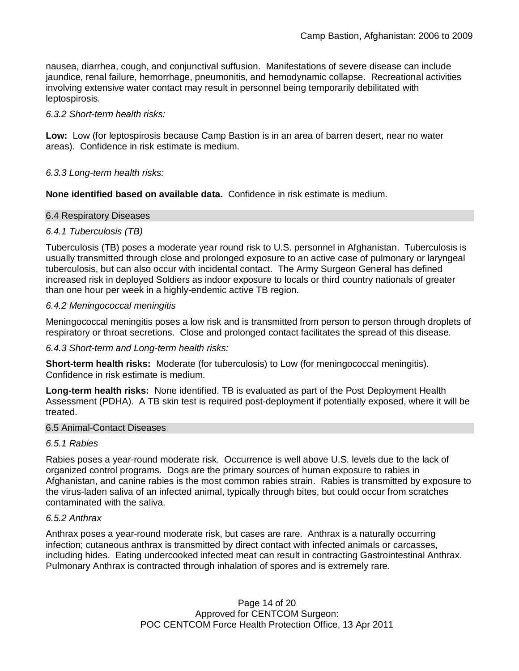nausea, diarrhea, cough, and conjunctival suffusion. Manifestations of severe disease can include jaundice, renal failure, hemorrhage, pneumonitis, and hemodynamic collapse. Recreational activities involving extensive water contact may result in personnel being temporarily debilitated with leptospirosis.

#### *6.3.2 Short-term health risks:*

**Low:** Low (for leptospirosis because Camp Bastion is in an area of barren desert, near no water areas). Confidence in risk estimate is medium.

#### *6.3.3 Long-term health risks:*

**None identified based on available data.** Confidence in risk estimate is medium.

#### 6.4 Respiratory Diseases

#### *6.4.1 Tuberculosis (TB)*

Tuberculosis (TB) poses a moderate year round risk to U.S. personnel in Afghanistan. Tuberculosis is usually transmitted through close and prolonged exposure to an active case of pulmonary or laryngeal tuberculosis, but can also occur with incidental contact. The Army Surgeon General has defined increased risk in deployed Soldiers as indoor exposure to locals or third country nationals of greater than one hour per week in a highly-endemic active TB region.

#### *6.4.2 Meningococcal meningitis*

Meningococcal meningitis poses a low risk and is transmitted from person to person through droplets of respiratory or throat secretions. Close and prolonged contact facilitates the spread of this disease.

#### *6.4.3 Short-term and Long-term health risks:*

**Short-term health risks:** Moderate (for tuberculosis) to Low (for meningococcal meningitis). Confidence in risk estimate is medium.

**Long-term health risks:** None identified. TB is evaluated as part of the Post Deployment Health Assessment (PDHA). A TB skin test is required post-deployment if potentially exposed, where it will be treated.

#### 6.5 Animal-Contact Diseases

#### *6.5.1 Rabies*

Rabies poses a year-round moderate risk. Occurrence is well above U.S. levels due to the lack of organized control programs. Dogs are the primary sources of human exposure to rabies in Afghanistan, and canine rabies is the most common rabies strain. Rabies is transmitted by exposure to the virus-laden saliva of an infected animal, typically through bites, but could occur from scratches contaminated with the saliva.

#### *6.5.2 Anthrax*

Anthrax poses a year-round moderate risk, but cases are rare. Anthrax is a naturally occurring infection; cutaneous anthrax is transmitted by direct contact with infected animals or carcasses, including hides. Eating undercooked infected meat can result in contracting Gastrointestinal Anthrax. Pulmonary Anthrax is contracted through inhalation of spores and is extremely rare.

> Page 14 of 20 Approved for CENTCOM Surgeon: POC CENTCOM Force Health Protection Office, 13 Apr 2011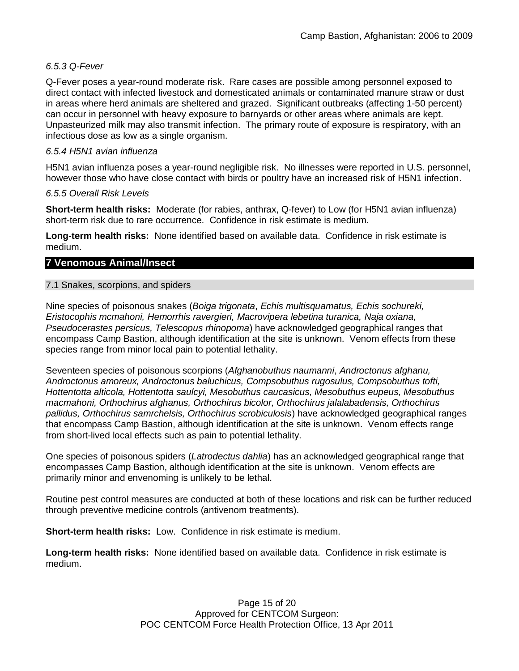## *6.5.3 Q-Fever*

Q-Fever poses a year-round moderate risk. Rare cases are possible among personnel exposed to direct contact with infected livestock and domesticated animals or contaminated manure straw or dust in areas where herd animals are sheltered and grazed. Significant outbreaks (affecting 1-50 percent) can occur in personnel with heavy exposure to barnyards or other areas where animals are kept. Unpasteurized milk may also transmit infection. The primary route of exposure is respiratory, with an infectious dose as low as a single organism.

## *6.5.4 H5N1 avian influenza*

H5N1 avian influenza poses a year-round negligible risk. No illnesses were reported in U.S. personnel, however those who have close contact with birds or poultry have an increased risk of H5N1 infection.

## *6.5.5 Overall Risk Levels*

**Short-term health risks:** Moderate (for rabies, anthrax, Q-fever) to Low (for H5N1 avian influenza) short-term risk due to rare occurrence. Confidence in risk estimate is medium.

**Long-term health risks:** None identified based on available data. Confidence in risk estimate is medium.

## **7 Venomous Animal/Insect**

## 7.1 Snakes, scorpions, and spiders

Nine species of poisonous snakes (*Boiga trigonata*, *Echis multisquamatus, Echis sochureki, Eristocophis mcmahoni, Hemorrhis ravergieri, Macrovipera lebetina turanica, Naja oxiana, Pseudocerastes persicus, Telescopus rhinopoma*) have acknowledged geographical ranges that encompass Camp Bastion, although identification at the site is unknown. Venom effects from these species range from minor local pain to potential lethality.

Seventeen species of poisonous scorpions (*Afghanobuthus naumanni*, *Androctonus afghanu, Androctonus amoreux, Androctonus baluchicus, Compsobuthus rugosulus, Compsobuthus tofti, Hottentotta alticola, Hottentotta saulcyi, Mesobuthus caucasicus, Mesobuthus eupeus, Mesobuthus macmahoni, Orthochirus afghanus, Orthochirus bicolor, Orthochirus jalalabadensis, Orthochirus pallidus, Orthochirus samrchelsis, Orthochirus scrobiculosis*) have acknowledged geographical ranges that encompass Camp Bastion, although identification at the site is unknown. Venom effects range from short-lived local effects such as pain to potential lethality.

One species of poisonous spiders (*Latrodectus dahlia*) has an acknowledged geographical range that encompasses Camp Bastion, although identification at the site is unknown. Venom effects are primarily minor and envenoming is unlikely to be lethal.

Routine pest control measures are conducted at both of these locations and risk can be further reduced through preventive medicine controls (antivenom treatments).

**Short-term health risks:** Low. Confidence in risk estimate is medium.

**Long-term health risks:** None identified based on available data. Confidence in risk estimate is medium.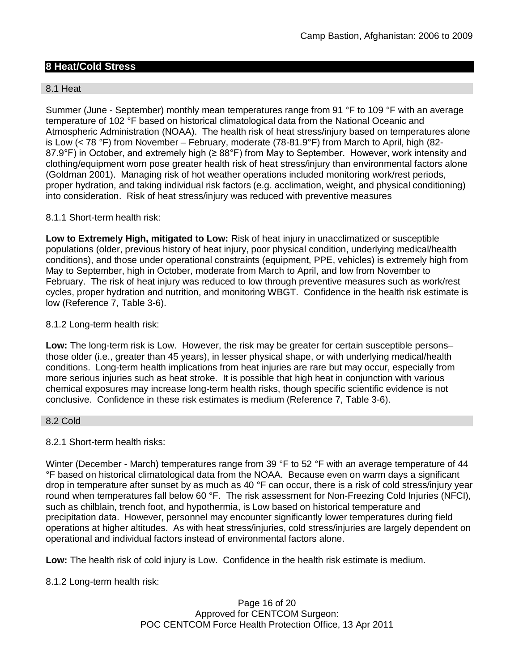## **8 Heat/Cold Stress**

#### 8.1 Heat

Summer (June - September) monthly mean temperatures range from 91 °F to 109 °F with an average temperature of 102 °F based on historical climatological data from the National Oceanic and Atmospheric Administration (NOAA). The health risk of heat stress/injury based on temperatures alone is Low (< 78 °F) from November – February, moderate (78-81.9°F) from March to April, high (82- 87.9°F) in October, and extremely high (≥ 88°F) from May to September. However, work intensity and clothing/equipment worn pose greater health risk of heat stress/injury than environmental factors alone (Goldman 2001). Managing risk of hot weather operations included monitoring work/rest periods, proper hydration, and taking individual risk factors (e.g. acclimation, weight, and physical conditioning) into consideration. Risk of heat stress/injury was reduced with preventive measures

#### 8.1.1 Short-term health risk:

**Low to Extremely High, mitigated to Low:** Risk of heat injury in unacclimatized or susceptible populations (older, previous history of heat injury, poor physical condition, underlying medical/health conditions), and those under operational constraints (equipment, PPE, vehicles) is extremely high from May to September, high in October, moderate from March to April, and low from November to February. The risk of heat injury was reduced to low through preventive measures such as work/rest cycles, proper hydration and nutrition, and monitoring WBGT. Confidence in the health risk estimate is low (Reference 7, Table 3-6).

#### 8.1.2 Long-term health risk:

**Low:** The long-term risk is Low. However, the risk may be greater for certain susceptible persons– those older (i.e., greater than 45 years), in lesser physical shape, or with underlying medical/health conditions. Long-term health implications from heat injuries are rare but may occur, especially from more serious injuries such as heat stroke. It is possible that high heat in conjunction with various chemical exposures may increase long-term health risks, though specific scientific evidence is not conclusive. Confidence in these risk estimates is medium (Reference 7, Table 3-6).

#### 8.2 Cold

#### 8.2.1 Short-term health risks:

Winter (December - March) temperatures range from 39 °F to 52 °F with an average temperature of 44 °F based on historical climatological data from the NOAA. Because even on warm days a significant drop in temperature after sunset by as much as 40 °F can occur, there is a risk of cold stress/injury year round when temperatures fall below 60 °F. The risk assessment for Non-Freezing Cold Injuries (NFCI), such as chilblain, trench foot, and hypothermia, is Low based on historical temperature and precipitation data. However, personnel may encounter significantly lower temperatures during field operations at higher altitudes. As with heat stress/injuries, cold stress/injuries are largely dependent on operational and individual factors instead of environmental factors alone.

**Low:** The health risk of cold injury is Low. Confidence in the health risk estimate is medium.

8.1.2 Long-term health risk: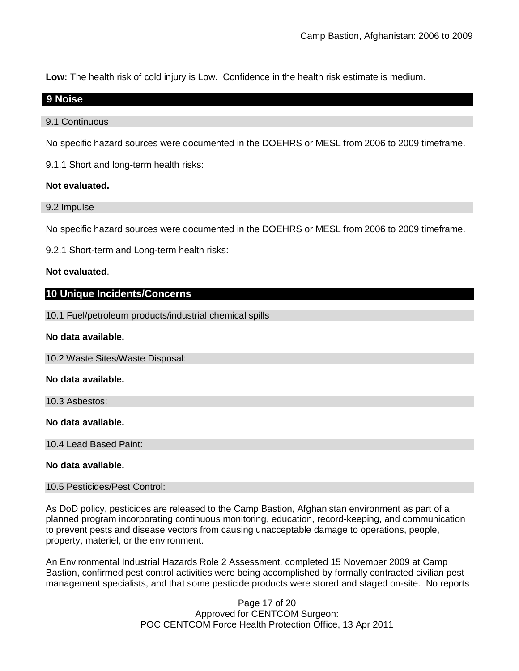**Low:** The health risk of cold injury is Low. Confidence in the health risk estimate is medium.

## **9 Noise**

#### 9.1 Continuous

No specific hazard sources were documented in the DOEHRS or MESL from 2006 to 2009 timeframe.

9.1.1 Short and long-term health risks:

## **Not evaluated.**

9.2 Impulse

No specific hazard sources were documented in the DOEHRS or MESL from 2006 to 2009 timeframe.

9.2.1 Short-term and Long-term health risks:

## **Not evaluated**.

## **10 Unique Incidents/Concerns**

10.1 Fuel/petroleum products/industrial chemical spills

#### **No data available.**

10.2 Waste Sites/Waste Disposal:

#### **No data available.**

10.3 Asbestos:

**No data available.**

10.4 Lead Based Paint:

## **No data available.**

10.5 Pesticides/Pest Control:

As DoD policy, pesticides are released to the Camp Bastion, Afghanistan environment as part of a planned program incorporating continuous monitoring, education, record-keeping, and communication to prevent pests and disease vectors from causing unacceptable damage to operations, people, property, materiel, or the environment.

An Environmental Industrial Hazards Role 2 Assessment, completed 15 November 2009 at Camp Bastion, confirmed pest control activities were being accomplished by formally contracted civilian pest management specialists, and that some pesticide products were stored and staged on-site. No reports

> Page 17 of 20 Approved for CENTCOM Surgeon: POC CENTCOM Force Health Protection Office, 13 Apr 2011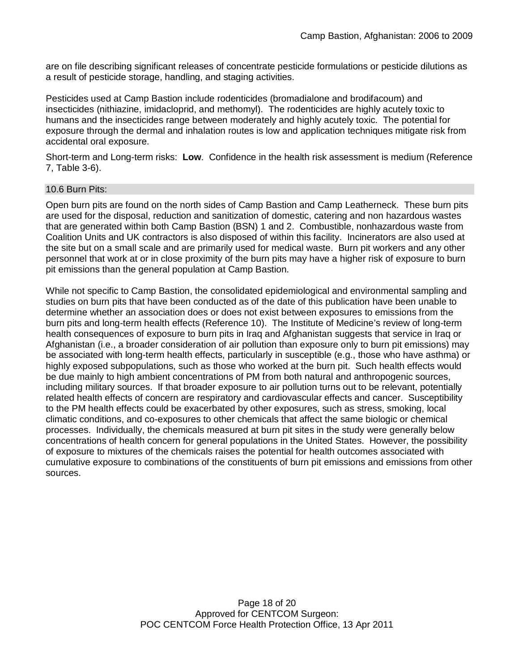are on file describing significant releases of concentrate pesticide formulations or pesticide dilutions as a result of pesticide storage, handling, and staging activities.

Pesticides used at Camp Bastion include rodenticides (bromadialone and brodifacoum) and insecticides (nithiazine, imidacloprid, and methomyl). The rodenticides are highly acutely toxic to humans and the insecticides range between moderately and highly acutely toxic. The potential for exposure through the dermal and inhalation routes is low and application techniques mitigate risk from accidental oral exposure.

Short-term and Long-term risks: **Low**. Confidence in the health risk assessment is medium (Reference 7, Table 3-6).

#### 10.6 Burn Pits:

Open burn pits are found on the north sides of Camp Bastion and Camp Leatherneck. These burn pits are used for the disposal, reduction and sanitization of domestic, catering and non hazardous wastes that are generated within both Camp Bastion (BSN) 1 and 2. Combustible, nonhazardous waste from Coalition Units and UK contractors is also disposed of within this facility. Incinerators are also used at the site but on a small scale and are primarily used for medical waste. Burn pit workers and any other personnel that work at or in close proximity of the burn pits may have a higher risk of exposure to burn pit emissions than the general population at Camp Bastion.

While not specific to Camp Bastion, the consolidated epidemiological and environmental sampling and studies on burn pits that have been conducted as of the date of this publication have been unable to determine whether an association does or does not exist between exposures to emissions from the burn pits and long-term health effects (Reference 10). The Institute of Medicine's review of long-term health consequences of exposure to burn pits in Iraq and Afghanistan suggests that service in Iraq or Afghanistan (i.e., a broader consideration of air pollution than exposure only to burn pit emissions) may be associated with long-term health effects, particularly in susceptible (e.g., those who have asthma) or highly exposed subpopulations, such as those who worked at the burn pit. Such health effects would be due mainly to high ambient concentrations of PM from both natural and anthropogenic sources, including military sources. If that broader exposure to air pollution turns out to be relevant, potentially related health effects of concern are respiratory and cardiovascular effects and cancer. Susceptibility to the PM health effects could be exacerbated by other exposures, such as stress, smoking, local climatic conditions, and co-exposures to other chemicals that affect the same biologic or chemical processes. Individually, the chemicals measured at burn pit sites in the study were generally below concentrations of health concern for general populations in the United States. However, the possibility of exposure to mixtures of the chemicals raises the potential for health outcomes associated with cumulative exposure to combinations of the constituents of burn pit emissions and emissions from other sources.

> Page 18 of 20 Approved for CENTCOM Surgeon: POC CENTCOM Force Health Protection Office, 13 Apr 2011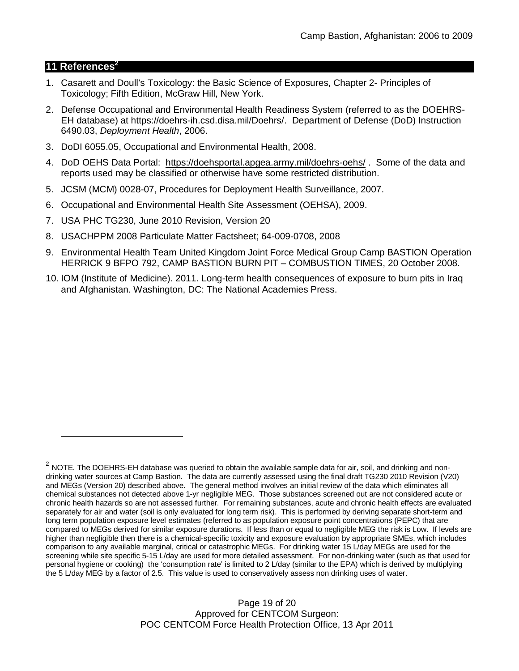## **11 References<sup>2</sup>**

- 1. Casarett and Doull's Toxicology: the Basic Science of Exposures, Chapter 2- Principles of Toxicology; Fifth Edition, McGraw Hill, New York.
- 2. Defense Occupational and Environmental Health Readiness System (referred to as the DOEHRS-EH database) at https://doehrs-ih.csd.disa.mil/Doehrs/. Department of Defense (DoD) Instruction 6490.03, *Deployment Health*, 2006.
- 3. DoDI 6055.05, Occupational and Environmental Health, 2008.
- 4. DoD OEHS Data Portal: https://doehsportal.apgea.army.mil/doehrs-oehs/ . Some of the data and reports used may be classified or otherwise have some restricted distribution.
- 5. JCSM (MCM) 0028-07, Procedures for Deployment Health Surveillance, 2007.
- 6. Occupational and Environmental Health Site Assessment (OEHSA), 2009.
- 7. USA PHC TG230, June 2010 Revision, Version 20
- 8. USACHPPM 2008 Particulate Matter Factsheet; 64-009-0708, 2008
- 9. Environmental Health Team United Kingdom Joint Force Medical Group Camp BASTION Operation HERRICK 9 BFPO 792, CAMP BASTION BURN PIT – COMBUSTION TIMES, 20 October 2008.
- 10. IOM (Institute of Medicine). 2011*.* Long-term health consequences of exposure to burn pits in Iraq and Afghanistan*.* Washington, DC: The National Academies Press.

Page 19 of 20 Approved for CENTCOM Surgeon: POC CENTCOM Force Health Protection Office, 13 Apr 2011

 $^2$  NOTE. The DOEHRS-EH database was queried to obtain the available sample data for air, soil, and drinking and nondrinking water sources at Camp Bastion. The data are currently assessed using the final draft TG230 2010 Revision (V20) and MEGs (Version 20) described above. The general method involves an initial review of the data which eliminates all chemical substances not detected above 1-yr negligible MEG. Those substances screened out are not considered acute or chronic health hazards so are not assessed further. For remaining substances, acute and chronic health effects are evaluated separately for air and water (soil is only evaluated for long term risk). This is performed by deriving separate short-term and long term population exposure level estimates (referred to as population exposure point concentrations (PEPC) that are compared to MEGs derived for similar exposure durations. If less than or equal to negligible MEG the risk is Low. If levels are higher than negligible then there is a chemical-specific toxicity and exposure evaluation by appropriate SMEs, which includes comparison to any available marginal, critical or catastrophic MEGs. For drinking water 15 L/day MEGs are used for the screening while site specific 5-15 L/day are used for more detailed assessment. For non-drinking water (such as that used for personal hygiene or cooking) the 'consumption rate' is limited to 2 L/day (similar to the EPA) which is derived by multiplying the 5 L/day MEG by a factor of 2.5. This value is used to conservatively assess non drinking uses of water.